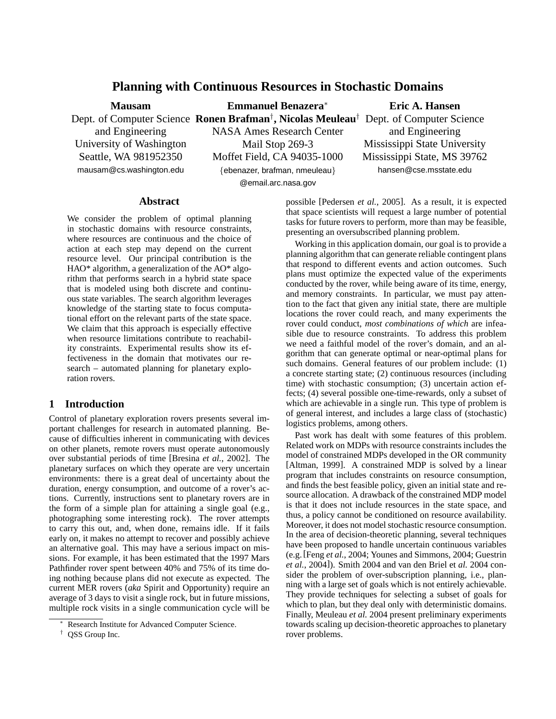# **Planning with Continuous Resources in Stochastic Domains**

**Mausam** and Engineering University of Washington Seattle, WA 981952350 mausam@cs.washington.edu

Dept. of Computer Science **Ronen Brafman**† **, Nicolas Meuleau**† Dept. of Computer Science **Emmanuel Benazera**<sup>∗</sup> NASA Ames Research Center Mail Stop 269-3 Moffet Field, CA 94035-1000 {ebenazer, brafman, nmeuleau} @email.arc.nasa.gov

# **Eric A. Hansen** and Engineering Mississippi State University Mississippi State, MS 39762 hansen@cse.msstate.edu

#### **Abstract**

We consider the problem of optimal planning in stochastic domains with resource constraints, where resources are continuous and the choice of action at each step may depend on the current resource level. Our principal contribution is the HAO\* algorithm, a generalization of the AO\* algorithm that performs search in a hybrid state space that is modeled using both discrete and continuous state variables. The search algorithm leverages knowledge of the starting state to focus computational effort on the relevant parts of the state space. We claim that this approach is especially effective when resource limitations contribute to reachability constraints. Experimental results show its effectiveness in the domain that motivates our research – automated planning for planetary exploration rovers.

## **1 Introduction**

Control of planetary exploration rovers presents several important challenges for research in automated planning. Because of difficulties inherent in communicating with devices on other planets, remote rovers must operate autonomously over substantial periods of time [Bresina *et al.*, 2002]. The planetary surfaces on which they operate are very uncertain environments: there is a great deal of uncertainty about the duration, energy consumption, and outcome of a rover's actions. Currently, instructions sent to planetary rovers are in the form of a simple plan for attaining a single goal (e.g., photographing some interesting rock). The rover attempts to carry this out, and, when done, remains idle. If it fails early on, it makes no attempt to recover and possibly achieve an alternative goal. This may have a serious impact on missions. For example, it has been estimated that the 1997 Mars Pathfinder rover spent between 40% and 75% of its time doing nothing because plans did not execute as expected. The current MER rovers (*aka* Spirit and Opportunity) require an average of 3 days to visit a single rock, but in future missions, multiple rock visits in a single communication cycle will be possible [Pedersen *et al.*, 2005]. As a result, it is expected that space scientists will request a large number of potential tasks for future rovers to perform, more than may be feasible, presenting an oversubscribed planning problem.

Working in this application domain, our goal is to provide a planning algorithm that can generate reliable contingent plans that respond to different events and action outcomes. Such plans must optimize the expected value of the experiments conducted by the rover, while being aware of its time, energy, and memory constraints. In particular, we must pay attention to the fact that given any initial state, there are multiple locations the rover could reach, and many experiments the rover could conduct, *most combinations of which* are infeasible due to resource constraints. To address this problem we need a faithful model of the rover's domain, and an algorithm that can generate optimal or near-optimal plans for such domains. General features of our problem include: (1) a concrete starting state; (2) continuous resources (including time) with stochastic consumption; (3) uncertain action effects; (4) several possible one-time-rewards, only a subset of which are achievable in a single run. This type of problem is of general interest, and includes a large class of (stochastic) logistics problems, among others.

Past work has dealt with some features of this problem. Related work on MDPs with resource constraints includes the model of constrained MDPs developed in the OR community [Altman, 1999]. A constrained MDP is solved by a linear program that includes constraints on resource consumption, and finds the best feasible policy, given an initial state and resource allocation. A drawback of the constrained MDP model is that it does not include resources in the state space, and thus, a policy cannot be conditioned on resource availability. Moreover, it does not model stochastic resource consumption. In the area of decision-theoretic planning, several techniques have been proposed to handle uncertain continuous variables (e.g.[Feng *et al.*, 2004; Younes and Simmons, 2004; Guestrin *et al.*, 2004]). Smith 2004 and van den Briel et *al.* 2004 consider the problem of over-subscription planning, i.e., planning with a large set of goals which is not entirely achievable. They provide techniques for selecting a subset of goals for which to plan, but they deal only with deterministic domains. Finally, Meuleau *et al.* 2004 present preliminary experiments towards scaling up decision-theoretic approaches to planetary rover problems.

Research Institute for Advanced Computer Science.

<sup>†</sup> QSS Group Inc.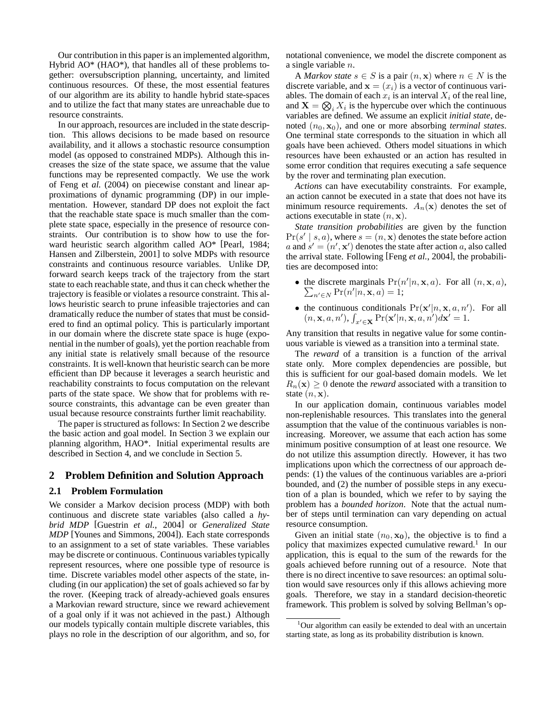Our contribution in this paper is an implemented algorithm, Hybrid AO\* (HAO\*), that handles all of these problems together: oversubscription planning, uncertainty, and limited continuous resources. Of these, the most essential features of our algorithm are its ability to handle hybrid state-spaces and to utilize the fact that many states are unreachable due to resource constraints.

In our approach, resources are included in the state description. This allows decisions to be made based on resource availability, and it allows a stochastic resource consumption model (as opposed to constrained MDPs). Although this increases the size of the state space, we assume that the value functions may be represented compactly. We use the work of Feng et *al.* (2004) on piecewise constant and linear approximations of dynamic programming (DP) in our implementation. However, standard DP does not exploit the fact that the reachable state space is much smaller than the complete state space, especially in the presence of resource constraints. Our contribution is to show how to use the forward heuristic search algorithm called AO\* [Pearl, 1984; Hansen and Zilberstein, 2001] to solve MDPs with resource constraints and continuous resource variables. Unlike DP, forward search keeps track of the trajectory from the start state to each reachable state, and thus it can check whether the trajectory is feasible or violates a resource constraint. This allows heuristic search to prune infeasible trajectories and can dramatically reduce the number of states that must be considered to find an optimal policy. This is particularly important in our domain where the discrete state space is huge (exponential in the number of goals), yet the portion reachable from any initial state is relatively small because of the resource constraints. It is well-known that heuristic search can be more efficient than DP because it leverages a search heuristic and reachability constraints to focus computation on the relevant parts of the state space. We show that for problems with resource constraints, this advantage can be even greater than usual because resource constraints further limit reachability.

The paper is structured as follows: In Section 2 we describe the basic action and goal model. In Section 3 we explain our planning algorithm, HAO\*. Initial experimental results are described in Section 4, and we conclude in Section 5.

## **2 Problem Definition and Solution Approach**

#### **2.1 Problem Formulation**

We consider a Markov decision process (MDP) with both continuous and discrete state variables (also called a *hybrid MDP* [Guestrin *et al.*, 2004] or *Generalized State MDP* [Younes and Simmons, 2004]). Each state corresponds to an assignment to a set of state variables. These variables may be discrete or continuous. Continuous variables typically represent resources, where one possible type of resource is time. Discrete variables model other aspects of the state, including (in our application) the set of goals achieved so far by the rover. (Keeping track of already-achieved goals ensures a Markovian reward structure, since we reward achievement of a goal only if it was not achieved in the past.) Although our models typically contain multiple discrete variables, this plays no role in the description of our algorithm, and so, for notational convenience, we model the discrete component as a single variable n.

A *Markov state*  $s \in S$  is a pair  $(n, x)$  where  $n \in N$  is the discrete variable, and  $\mathbf{x} = (x_i)$  is a vector of continuous variables. The domain of each  $x_i$  is an interval  $X_i$  of the real line, and  $X = \bigotimes_i X_i$  is the hypercube over which the continuous variables are defined. We assume an explicit *initial state*, denoted  $(n_0, \mathbf{x}_0)$ , and one or more absorbing *terminal states*. One terminal state corresponds to the situation in which all goals have been achieved. Others model situations in which resources have been exhausted or an action has resulted in some error condition that requires executing a safe sequence by the rover and terminating plan execution.

*Actions* can have executability constraints. For example, an action cannot be executed in a state that does not have its minimum resource requirements.  $A_n(\mathbf{x})$  denotes the set of actions executable in state  $(n, \mathbf{x})$ .

*State transition probabilities* are given by the function  $Pr(s' | s, a)$ , where  $s = (n, x)$  denotes the state before action a and  $s' = (n', \mathbf{x}')$  denotes the state after action a, also called the arrival state. Following [Feng *et al.*, 2004], the probabilities are decomposed into:

- the discrete marginals  $Pr(n'|n, \mathbf{x}, a)$ . For all  $(n, \mathbf{x}, a)$ ,  $n \in N$  Pr( $n'|n, \mathbf{x}, a) = 1;$
- the continuous conditionals  $Pr(\mathbf{x}'|n, \mathbf{x}, a, n')$ . For all  $(n, \mathbf{x}, a, n'),$ u:  $\sum_{x' \in \mathbf{X}} \Pr(\mathbf{x'}|n, \mathbf{x}, a, n') d\mathbf{x'} = 1.$

Any transition that results in negative value for some continuous variable is viewed as a transition into a terminal state.

The *reward* of a transition is a function of the arrival state only. More complex dependencies are possible, but this is sufficient for our goal-based domain models. We let  $R_n(\mathbf{x}) \geq 0$  denote the *reward* associated with a transition to state  $(n, \mathbf{x})$ .

In our application domain, continuous variables model non-replenishable resources. This translates into the general assumption that the value of the continuous variables is nonincreasing. Moreover, we assume that each action has some minimum positive consumption of at least one resource. We do not utilize this assumption directly. However, it has two implications upon which the correctness of our approach depends: (1) the values of the continuous variables are a-priori bounded, and (2) the number of possible steps in any execution of a plan is bounded, which we refer to by saying the problem has a *bounded horizon*. Note that the actual number of steps until termination can vary depending on actual resource consumption.

Given an initial state  $(n_0, \mathbf{x_0})$ , the objective is to find a policy that maximizes expected cumulative reward.<sup>1</sup> In our application, this is equal to the sum of the rewards for the goals achieved before running out of a resource. Note that there is no direct incentive to save resources: an optimal solution would save resources only if this allows achieving more goals. Therefore, we stay in a standard decision-theoretic framework. This problem is solved by solving Bellman's op-

 $1$ Our algorithm can easily be extended to deal with an uncertain starting state, as long as its probability distribution is known.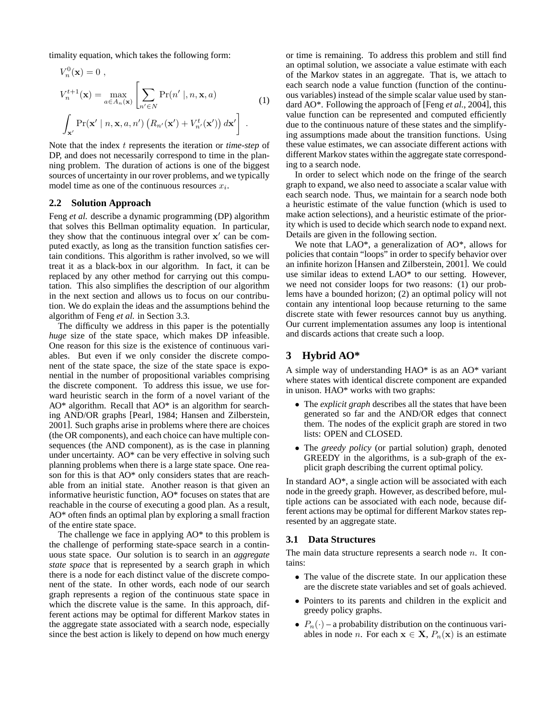timality equation, which takes the following form:

$$
V_n^0(\mathbf{x}) = 0,
$$
  
\n
$$
V_n^{t+1}(\mathbf{x}) = \max_{a \in A_n(\mathbf{x})} \left[ \sum_{n' \in N} \Pr(n' \mid n, \mathbf{x}, a) \right]
$$
  
\n
$$
\int_{\mathbf{x}'} \Pr(\mathbf{x}' \mid n, \mathbf{x}, a, n') \left( R_{n'}(\mathbf{x}') + V_{n'}^t(\mathbf{x}') \right) d\mathbf{x}' \right].
$$
 (1)

Note that the index t represents the iteration or *time-step* of DP, and does not necessarily correspond to time in the planning problem. The duration of actions is one of the biggest sources of uncertainty in our rover problems, and we typically model time as one of the continuous resources  $x_i$ .

#### **2.2 Solution Approach**

Feng *et al.* describe a dynamic programming (DP) algorithm that solves this Bellman optimality equation. In particular, they show that the continuous integral over  $x'$  can be computed exactly, as long as the transition function satisfies certain conditions. This algorithm is rather involved, so we will treat it as a black-box in our algorithm. In fact, it can be replaced by any other method for carrying out this computation. This also simplifies the description of our algorithm in the next section and allows us to focus on our contribution. We do explain the ideas and the assumptions behind the algorithm of Feng *et al.* in Section 3.3.

The difficulty we address in this paper is the potentially *huge* size of the state space, which makes DP infeasible. One reason for this size is the existence of continuous variables. But even if we only consider the discrete component of the state space, the size of the state space is exponential in the number of propositional variables comprising the discrete component. To address this issue, we use forward heuristic search in the form of a novel variant of the AO\* algorithm. Recall that AO\* is an algorithm for searching AND/OR graphs [Pearl, 1984; Hansen and Zilberstein, 2001]. Such graphs arise in problems where there are choices (the OR components), and each choice can have multiple consequences (the AND component), as is the case in planning under uncertainty. AO\* can be very effective in solving such planning problems when there is a large state space. One reason for this is that AO\* only considers states that are reachable from an initial state. Another reason is that given an informative heuristic function, AO\* focuses on states that are reachable in the course of executing a good plan. As a result, AO\* often finds an optimal plan by exploring a small fraction of the entire state space.

The challenge we face in applying AO\* to this problem is the challenge of performing state-space search in a continuous state space. Our solution is to search in an *aggregate state space* that is represented by a search graph in which there is a node for each distinct value of the discrete component of the state. In other words, each node of our search graph represents a region of the continuous state space in which the discrete value is the same. In this approach, different actions may be optimal for different Markov states in the aggregate state associated with a search node, especially since the best action is likely to depend on how much energy

or time is remaining. To address this problem and still find an optimal solution, we associate a value estimate with each of the Markov states in an aggregate. That is, we attach to each search node a value function (function of the continuous variables) instead of the simple scalar value used by standard AO\*. Following the approach of [Feng *et al.*, 2004], this value function can be represented and computed efficiently due to the continuous nature of these states and the simplifying assumptions made about the transition functions. Using these value estimates, we can associate different actions with different Markov states within the aggregate state corresponding to a search node.

In order to select which node on the fringe of the search graph to expand, we also need to associate a scalar value with each search node. Thus, we maintain for a search node both a heuristic estimate of the value function (which is used to make action selections), and a heuristic estimate of the priority which is used to decide which search node to expand next. Details are given in the following section.

We note that LAO\*, a generalization of AO\*, allows for policies that contain "loops" in order to specify behavior over an infinite horizon [Hansen and Zilberstein, 2001]. We could use similar ideas to extend LAO\* to our setting. However, we need not consider loops for two reasons: (1) our problems have a bounded horizon; (2) an optimal policy will not contain any intentional loop because returning to the same discrete state with fewer resources cannot buy us anything. Our current implementation assumes any loop is intentional and discards actions that create such a loop.

# **3 Hybrid AO\***

A simple way of understanding HAO\* is as an AO\* variant where states with identical discrete component are expanded in unison. HAO\* works with two graphs:

- The *explicit graph* describes all the states that have been generated so far and the AND/OR edges that connect them. The nodes of the explicit graph are stored in two lists: OPEN and CLOSED.
- The *greedy policy* (or partial solution) graph, denoted GREEDY in the algorithms, is a sub-graph of the explicit graph describing the current optimal policy.

In standard AO\*, a single action will be associated with each node in the greedy graph. However, as described before, multiple actions can be associated with each node, because different actions may be optimal for different Markov states represented by an aggregate state.

#### **3.1 Data Structures**

The main data structure represents a search node  $n$ . It contains:

- The value of the discrete state. In our application these are the discrete state variables and set of goals achieved.
- Pointers to its parents and children in the explicit and greedy policy graphs.
- $P_n(\cdot)$  a probability distribution on the continuous variables in node *n*. For each  $x \in X$ ,  $P_n(x)$  is an estimate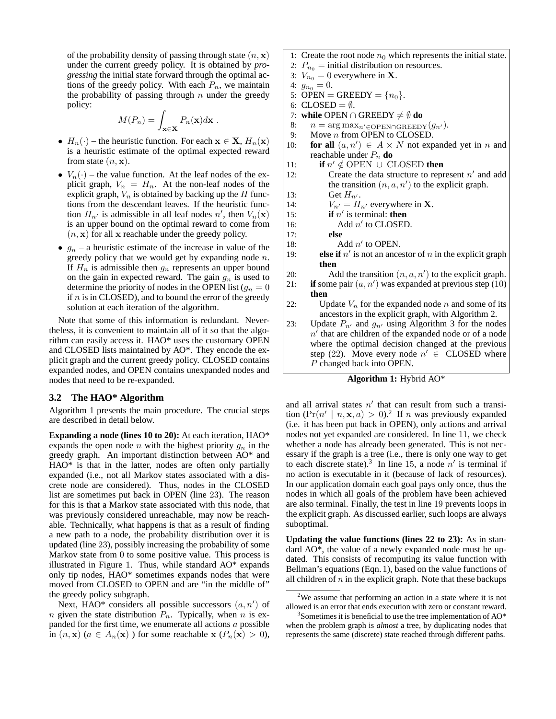of the probability density of passing through state  $(n, x)$ under the current greedy policy. It is obtained by *progressing* the initial state forward through the optimal actions of the greedy policy. With each  $P_n$ , we maintain the probability of passing through  $n$  under the greedy policy:

$$
M(P_n) = \int_{\mathbf{x} \in \mathbf{X}} P_n(\mathbf{x}) d\mathbf{x} .
$$

- $H_n(\cdot)$  the heuristic function. For each  $\mathbf{x} \in \mathbf{X}$ ,  $H_n(\mathbf{x})$ is a heuristic estimate of the optimal expected reward from state  $(n, \mathbf{x})$ .
- $V_n(\cdot)$  the value function. At the leaf nodes of the explicit graph,  $V_n = H_n$ . At the non-leaf nodes of the explicit graph,  $V_n$  is obtained by backing up the  $H$  functions from the descendant leaves. If the heuristic function  $H_{n'}$  is admissible in all leaf nodes n', then  $V_n(\mathbf{x})$ is an upper bound on the optimal reward to come from  $(n, x)$  for all x reachable under the greedy policy.
- $g_n$  a heuristic estimate of the increase in value of the greedy policy that we would get by expanding node  $n$ . If  $H_n$  is admissible then  $g_n$  represents an upper bound on the gain in expected reward. The gain  $g_n$  is used to determine the priority of nodes in the OPEN list ( $g_n = 0$ ) if  $n$  is in CLOSED), and to bound the error of the greedy solution at each iteration of the algorithm.

Note that some of this information is redundant. Nevertheless, it is convenient to maintain all of it so that the algorithm can easily access it. HAO\* uses the customary OPEN and CLOSED lists maintained by AO\*. They encode the explicit graph and the current greedy policy. CLOSED contains expanded nodes, and OPEN contains unexpanded nodes and nodes that need to be re-expanded.

#### **3.2 The HAO\* Algorithm**

Algorithm 1 presents the main procedure. The crucial steps are described in detail below.

**Expanding a node (lines 10 to 20):** At each iteration, HAO\* expands the open node n with the highest priority  $g_n$  in the greedy graph. An important distinction between AO\* and HAO\* is that in the latter, nodes are often only partially expanded (i.e., not all Markov states associated with a discrete node are considered). Thus, nodes in the CLOSED list are sometimes put back in OPEN (line 23). The reason for this is that a Markov state associated with this node, that was previously considered unreachable, may now be reachable. Technically, what happens is that as a result of finding a new path to a node, the probability distribution over it is updated (line 23), possibly increasing the probability of some Markov state from 0 to some positive value. This process is illustrated in Figure 1. Thus, while standard AO\* expands only tip nodes, HAO\* sometimes expands nodes that were moved from CLOSED to OPEN and are "in the middle of" the greedy policy subgraph.

Next, HAO\* considers all possible successors  $(a, n')$  of n given the state distribution  $P_n$ . Typically, when n is expanded for the first time, we enumerate all actions  $a$  possible in  $(n, x)$   $(a \in A_n(x))$  for some reachable  $x$   $(P_n(x) > 0)$ ,

- 1: Create the root node  $n_0$  which represents the initial state.
- 2:  $P_{n_0}$  = initial distribution on resources.
- 3:  $V_{n_0} = 0$  everywhere in **X**.
- 4:  $g_{n_0} = 0$ .
- 5: OPEN = GREEDY =  $\{n_0\}$ .
- 6:  $CLOSED = \emptyset$ .
- 7: **while** OPEN ∩ GREEDY  $\neq$  Ø **do**
- 8:  $n = \arg \max_{n' \in \text{OPEN} \cap \text{GREEDY}} (g_{n'}).$ <br>9: Move *n* from OPEN to CLOSED.
- Move  $n$  from OPEN to CLOSED.
- 10: **for all**  $(a, n') \in A \times N$  not expanded yet in *n* and reachable under  $P_n$  **do**
- 11: **if**  $n' \notin$  OPEN ∪ CLOSED **then**
- 12: Create the data structure to represent  $n'$  and add the transition  $(n, a, n')$  to the explicit graph.
- 13: Get  $H_{n'}$ .
- 14:  $V_{n'} = H_{n'}$  everywhere in **X**.<br>15: **if**  $n'$  is terminal: **then**
- 15: **if**  $n'$  is terminal: **then**
- 16: Add  $n'$  to CLOSED.
- 17: **else**
- 18: Add  $n'$  to OPEN.
- 19: **else if**  $n'$  is not an ancestor of n in the explicit graph **then**
- 20: Add the transition  $(n, a, n')$  to the explicit graph.
- 21: **if** some pair  $(a, n')$  was expanded at previous step  $(10)$ **then**
- 22: Update  $V_n$  for the expanded node n and some of its ancestors in the explicit graph, with Algorithm 2.
- 23: Update  $P_{n'}$  and  $g_{n'}$  using Algorithm 3 for the nodes  $n<sup>j</sup>$  that are children of the expanded node or of a node where the optimal decision changed at the previous step (22). Move every node  $n' \in$  CLOSED where P changed back into OPEN.

#### **Algorithm 1:** Hybrid AO\*

and all arrival states  $n'$  that can result from such a transition  $(\Pr(n' \mid n, \mathbf{x}, a) > 0)$ .<sup>2</sup> If *n* was previously expanded (i.e. it has been put back in OPEN), only actions and arrival nodes not yet expanded are considered. In line 11, we check whether a node has already been generated. This is not necessary if the graph is a tree (i.e., there is only one way to get to each discrete state).<sup>3</sup> In line 15, a node  $n'$  is terminal if no action is executable in it (because of lack of resources). In our application domain each goal pays only once, thus the nodes in which all goals of the problem have been achieved are also terminal. Finally, the test in line 19 prevents loops in the explicit graph. As discussed earlier, such loops are always suboptimal.

**Updating the value functions (lines 22 to 23):** As in standard AO\*, the value of a newly expanded node must be updated. This consists of recomputing its value function with Bellman's equations (Eqn. 1), based on the value functions of all children of  $n$  in the explicit graph. Note that these backups

 $2$ We assume that performing an action in a state where it is not allowed is an error that ends execution with zero or constant reward.

<sup>&</sup>lt;sup>3</sup>Sometimes it is beneficial to use the tree implementation of AO\* when the problem graph is *almost* a tree, by duplicating nodes that represents the same (discrete) state reached through different paths.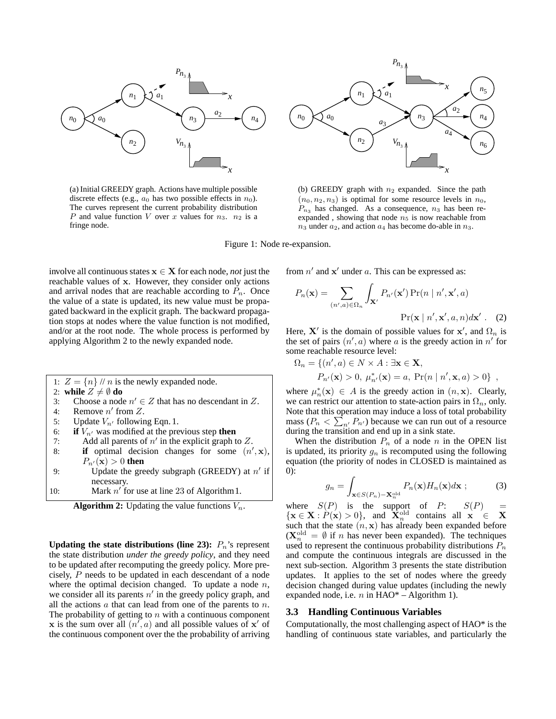

(a) Initial GREEDY graph. Actions have multiple possible discrete effects (e.g.,  $a_0$  has two possible effects in  $n_0$ ). The curves represent the current probability distribution P and value function V over x values for  $n_3$ .  $n_2$  is a fringe node.



(b) GREEDY graph with  $n_2$  expanded. Since the path  $(n_0, n_2, n_3)$  is optimal for some resource levels in  $n_0$ ,  $P_{n_3}$  has changed. As a consequence,  $n_3$  has been reexpanded, showing that node  $n_5$  is now reachable from  $n_3$  under  $a_2$ , and action  $a_4$  has become do-able in  $n_3$ .



involve all continuous states  $x \in X$  for each node, *not* just the reachable values of x. However, they consider only actions and arrival nodes that are reachable according to  $P_n$ . Once the value of a state is updated, its new value must be propagated backward in the explicit graph. The backward propagation stops at nodes where the value function is not modified, and/or at the root node. The whole process is performed by applying Algorithm 2 to the newly expanded node.

- 1:  $Z = \{n\}$  // *n* is the newly expanded node. 2: **while**  $Z \neq \emptyset$  **do** 3: Choose a node  $n' \in Z$  that has no descendant in Z. 4: Remove  $n'$  from  $Z$ . 5: Update  $V_{n'}$  following Eqn. 1.
- 6: **if**  $V_{n'}$  was modified at the previous step **then**
- 7: Add all parents of  $n'$  in the explicit graph to Z.
- 8: **if** optimal decision changes for some  $(n',\mathbf{x})$ ,  $P_{n'}(\mathbf{x}) > 0$  then
- 9: Update the greedy subgraph (GREEDY) at  $n'$  if necessary.
- 10: Mark  $n'$  for use at line 23 of Algorithm 1.

**Algorithm 2:** Updating the value functions  $V_n$ .

**Updating the state distributions (line 23):**  $P_n$ 's represent the state distribution *under the greedy policy*, and they need to be updated after recomputing the greedy policy. More precisely, P needs to be updated in each descendant of a node where the optimal decision changed. To update a node  $n$ , we consider all its parents  $n'$  in the greedy policy graph, and all the actions  $a$  that can lead from one of the parents to  $n$ . The probability of getting to  $n$  with a continuous component x is the sum over all  $(n', a)$  and all possible values of x' of the continuous component over the the probability of arriving from  $n'$  and  $x'$  under a. This can be expressed as:

$$
P_n(\mathbf{x}) = \sum_{(n',a)\in\Omega_n} \int_{\mathbf{X}'} P_{n'}(\mathbf{x}') \Pr(n \mid n', \mathbf{x}', a)
$$

$$
\Pr(\mathbf{x} \mid n', \mathbf{x}', a, n) d\mathbf{x}' . \quad (2)
$$

Here,  $X'$  is the domain of possible values for  $x'$ , and  $\Omega_n$  is the set of pairs  $(n', a)$  where a is the greedy action in n' for some reachable resource level:

$$
\Omega_n = \{ (n', a) \in N \times A : \exists \mathbf{x} \in \mathbf{X},
$$
  
\n
$$
P_{n'}(\mathbf{x}) > 0, \mu_{n'}^*(\mathbf{x}) = a, \Pr(n | n', \mathbf{x}, a) > 0 \},
$$

where  $\mu_n^*(\mathbf{x}) \in A$  is the greedy action in  $(n, \mathbf{x})$ . Clearly, we can restrict our attention to state-action pairs in  $\Omega_n$ , only. Note that this operation may induce a loss of total probability P mass  $(P_n < \sum_{n'} P_{n'})$  because we can run out of a resource during the transition and end up in a sink state.

When the distribution  $P_n$  of a node n in the OPEN list is updated, its priority  $g_n$  is recomputed using the following equation (the priority of nodes in CLOSED is maintained as 0):

$$
g_n = \int_{\mathbf{x} \in S(P_n) - \mathbf{X}_n^{\text{old}}} P_n(\mathbf{x}) H_n(\mathbf{x}) d\mathbf{x} ; \tag{3}
$$

where  $S(P)$  is the support of P:  $S(P)$  ${x \in X : P(x) > 0}$ , and  $\widetilde{X}_n^{\text{old}}$  contains all  $x \in X$ such that the state  $(n, x)$  has already been expanded before  $(X_n^{\text{old}} = \emptyset \text{ if } n \text{ has never been expanded}).$  The techniques used to represent the continuous probability distributions  $P_n$ and compute the continuous integrals are discussed in the next sub-section. Algorithm 3 presents the state distribution updates. It applies to the set of nodes where the greedy decision changed during value updates (including the newly expanded node, i.e. *n* in  $HAO^*$  – Algorithm 1).

#### **3.3 Handling Continuous Variables**

Computationally, the most challenging aspect of HAO\* is the handling of continuous state variables, and particularly the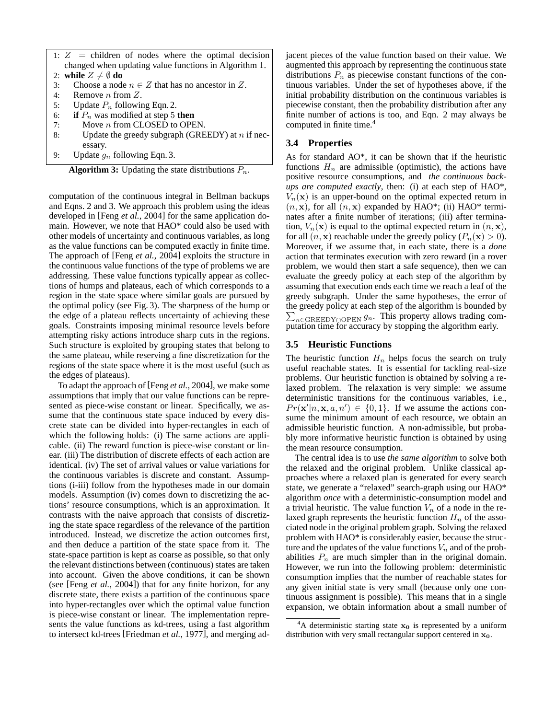- 1:  $Z =$  children of nodes where the optimal decision changed when updating value functions in Algorithm 1.
- 2: **while**  $Z \neq \emptyset$  **do**
- 3: Choose a node  $n \in \mathbb{Z}$  that has no ancestor in Z.
- 4: Remove n from Z.
- 5: Update  $P_n$  following Eqn. 2.
- 6: **if**  $P_n$  was modified at step 5 **then**<br>7: Move *n* from CLOSED to OPE
- Move  $n$  from CLOSED to OPEN.
- 8: Update the greedy subgraph (GREEDY) at  $n$  if necessary.
- 9: Update  $g_n$  following Eqn. 3.

**Algorithm 3:** Updating the state distributions  $P_n$ .

computation of the continuous integral in Bellman backups and Eqns. 2 and 3. We approach this problem using the ideas developed in [Feng *et al.*, 2004] for the same application domain. However, we note that HAO\* could also be used with other models of uncertainty and continuous variables, as long as the value functions can be computed exactly in finite time. The approach of [Feng *et al.*, 2004] exploits the structure in the continuous value functions of the type of problems we are addressing. These value functions typically appear as collections of humps and plateaus, each of which corresponds to a region in the state space where similar goals are pursued by the optimal policy (see Fig. 3). The sharpness of the hump or the edge of a plateau reflects uncertainty of achieving these goals. Constraints imposing minimal resource levels before attempting risky actions introduce sharp cuts in the regions. Such structure is exploited by grouping states that belong to the same plateau, while reserving a fine discretization for the regions of the state space where it is the most useful (such as the edges of plateaus).

To adapt the approach of [Feng *et al.*, 2004], we make some assumptions that imply that our value functions can be represented as piece-wise constant or linear. Specifically, we assume that the continuous state space induced by every discrete state can be divided into hyper-rectangles in each of which the following holds: (i) The same actions are applicable. (ii) The reward function is piece-wise constant or linear. (iii) The distribution of discrete effects of each action are identical. (iv) The set of arrival values or value variations for the continuous variables is discrete and constant. Assumptions (i-iii) follow from the hypotheses made in our domain models. Assumption (iv) comes down to discretizing the actions' resource consumptions, which is an approximation. It contrasts with the naive approach that consists of discretizing the state space regardless of the relevance of the partition introduced. Instead, we discretize the action outcomes first, and then deduce a partition of the state space from it. The state-space partition is kept as coarse as possible, so that only the relevant distinctions between (continuous) states are taken into account. Given the above conditions, it can be shown (see [Feng *et al.*, 2004]) that for any finite horizon, for any discrete state, there exists a partition of the continuous space into hyper-rectangles over which the optimal value function is piece-wise constant or linear. The implementation represents the value functions as kd-trees, using a fast algorithm to intersect kd-trees [Friedman *et al.*, 1977], and merging adjacent pieces of the value function based on their value. We augmented this approach by representing the continuous state distributions  $P_n$  as piecewise constant functions of the continuous variables. Under the set of hypotheses above, if the initial probability distribution on the continuous variables is piecewise constant, then the probability distribution after any finite number of actions is too, and Eqn. 2 may always be computed in finite time.<sup>4</sup>

# **3.4 Properties**

As for standard AO\*, it can be shown that if the heuristic functions  $H_n$  are admissible (optimistic), the actions have positive resource consumptions, and *the continuous backups are computed exactly*, then: (i) at each step of HAO\*,  $V_n(\mathbf{x})$  is an upper-bound on the optimal expected return in  $(n, x)$ , for all  $(n, x)$  expanded by HAO\*; (ii) HAO\* terminates after a finite number of iterations; (iii) after termination,  $V_n(\mathbf{x})$  is equal to the optimal expected return in  $(n, \mathbf{x})$ , for all  $(n, x)$  reachable under the greedy policy  $(P_n(x) > 0)$ . Moreover, if we assume that, in each state, there is a *done* action that terminates execution with zero reward (in a rover problem, we would then start a safe sequence), then we can evaluate the greedy policy at each step of the algorithm by assuming that execution ends each time we reach a leaf of the greedy subgraph. Under the same hypotheses, the error of the greedy policy at each step of the algorithm is bounded by P  $\sum_{n\in\text{GREEDY}\cap\text{OPEN}} g_n$ . This property allows trading computation time for accuracy by stopping the algorithm early.

# **3.5 Heuristic Functions**

The heuristic function  $H_n$  helps focus the search on truly useful reachable states. It is essential for tackling real-size problems. Our heuristic function is obtained by solving a relaxed problem. The relaxation is very simple: we assume deterministic transitions for the continuous variables, i.e.,  $Pr(\mathbf{x}'|n, \mathbf{x}, a, n') \in \{0, 1\}$ . If we assume the actions consume the minimum amount of each resource, we obtain an admissible heuristic function. A non-admissible, but probably more informative heuristic function is obtained by using the mean resource consumption.

The central idea is to use *the same algorithm* to solve both the relaxed and the original problem. Unlike classical approaches where a relaxed plan is generated for every search state, we generate a "relaxed" search-graph using our HAO\* algorithm *once* with a deterministic-consumption model and a trivial heuristic. The value function  $V_n$  of a node in the relaxed graph represents the heuristic function  $H_n$  of the associated node in the original problem graph. Solving the relaxed problem with HAO\* is considerably easier, because the structure and the updates of the value functions  $V_n$  and of the probabilities  $P_n$  are much simpler than in the original domain. However, we run into the following problem: deterministic consumption implies that the number of reachable states for any given initial state is very small (because only one continuous assignment is possible). This means that in a single expansion, we obtain information about a small number of

<sup>&</sup>lt;sup>4</sup>A deterministic starting state  $x_0$  is represented by a uniform distribution with very small rectangular support centered in  $x_0$ .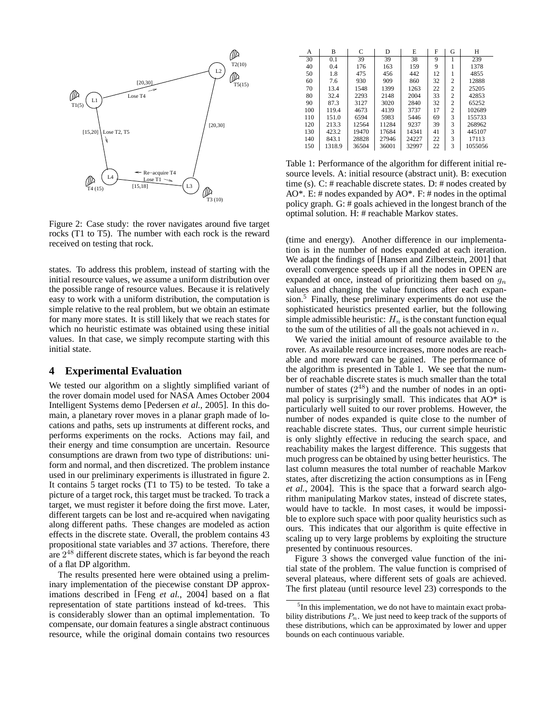

Figure 2: Case study: the rover navigates around five target rocks (T1 to T5). The number with each rock is the reward received on testing that rock.

states. To address this problem, instead of starting with the initial resource values, we assume a uniform distribution over the possible range of resource values. Because it is relatively easy to work with a uniform distribution, the computation is simple relative to the real problem, but we obtain an estimate for many more states. It is still likely that we reach states for which no heuristic estimate was obtained using these initial values. In that case, we simply recompute starting with this initial state.

#### **4 Experimental Evaluation**

We tested our algorithm on a slightly simplified variant of the rover domain model used for NASA Ames October 2004 Intelligent Systems demo [Pedersen *et al.*, 2005]. In this domain, a planetary rover moves in a planar graph made of locations and paths, sets up instruments at different rocks, and performs experiments on the rocks. Actions may fail, and their energy and time consumption are uncertain. Resource consumptions are drawn from two type of distributions: uniform and normal, and then discretized. The problem instance used in our preliminary experiments is illustrated in figure 2. It contains 5 target rocks (T1 to T5) to be tested. To take a picture of a target rock, this target must be tracked. To track a target, we must register it before doing the first move. Later, different targets can be lost and re-acquired when navigating along different paths. These changes are modeled as action effects in the discrete state. Overall, the problem contains 43 propositional state variables and 37 actions. Therefore, there are  $2^{48}$  different discrete states, which is far beyond the reach of a flat DP algorithm.

The results presented here were obtained using a preliminary implementation of the piecewise constant DP approximations described in [Feng *et al.*, 2004] based on a flat representation of state partitions instead of kd-trees. This is considerably slower than an optimal implementation. To compensate, our domain features a single abstract continuous resource, while the original domain contains two resources

| А   | B      | C     | D     | E     | F  | G              | Н       |
|-----|--------|-------|-------|-------|----|----------------|---------|
| 30  | 0.1    | 39    | 39    | 38    | 9  |                | 239     |
| 40  | 0.4    | 176   | 163   | 159   | 9  |                | 1378    |
| 50  | 1.8    | 475   | 456   | 442   | 12 |                | 4855    |
| 60  | 7.6    | 930   | 909   | 860   | 32 | $\mathfrak{D}$ | 12888   |
| 70  | 13.4   | 1548  | 1399  | 1263  | 22 | $\overline{c}$ | 25205   |
| 80  | 32.4   | 2293  | 2148  | 2004  | 33 | $\overline{c}$ | 42853   |
| 90  | 87.3   | 3127  | 3020  | 2840  | 32 | $\overline{c}$ | 65252   |
| 100 | 119.4  | 4673  | 4139  | 3737  | 17 | $\mathfrak{D}$ | 102689  |
| 110 | 151.0  | 6594  | 5983  | 5446  | 69 | 3              | 155733  |
| 120 | 213.3  | 12564 | 11284 | 9237  | 39 | 3              | 268962  |
| 130 | 423.2  | 19470 | 17684 | 14341 | 41 | 3              | 445107  |
| 140 | 843.1  | 28828 | 27946 | 24227 | 22 | 3              | 17113   |
| 150 | 1318.9 | 36504 | 36001 | 32997 | 22 | 3              | 1055056 |

Table 1: Performance of the algorithm for different initial resource levels. A: initial resource (abstract unit). B: execution time (s). C: # reachable discrete states. D: # nodes created by AO\*. E: # nodes expanded by AO\*. F: # nodes in the optimal policy graph. G: # goals achieved in the longest branch of the optimal solution. H: # reachable Markov states.

(time and energy). Another difference in our implementation is in the number of nodes expanded at each iteration. We adapt the findings of [Hansen and Zilberstein, 2001] that overall convergence speeds up if all the nodes in OPEN are expanded at once, instead of prioritizing them based on  $g_n$ values and changing the value functions after each expansion.<sup>5</sup> Finally, these preliminary experiments do not use the sophisticated heuristics presented earlier, but the following simple admissible heuristic:  $H_n$  is the constant function equal to the sum of the utilities of all the goals not achieved in  $\overline{n}$ .

We varied the initial amount of resource available to the rover. As available resource increases, more nodes are reachable and more reward can be gained. The performance of the algorithm is presented in Table 1. We see that the number of reachable discrete states is much smaller than the total number of states  $(2^{48})$  and the number of nodes in an optimal policy is surprisingly small. This indicates that  $AO^*$  is particularly well suited to our rover problems. However, the number of nodes expanded is quite close to the number of reachable discrete states. Thus, our current simple heuristic is only slightly effective in reducing the search space, and reachability makes the largest difference. This suggests that much progress can be obtained by using better heuristics. The last column measures the total number of reachable Markov states, after discretizing the action consumptions as in [Feng *et al.*, 2004]. This is the space that a forward search algorithm manipulating Markov states, instead of discrete states, would have to tackle. In most cases, it would be impossible to explore such space with poor quality heuristics such as ours. This indicates that our algorithm is quite effective in scaling up to very large problems by exploiting the structure presented by continuous resources.

Figure 3 shows the converged value function of the initial state of the problem. The value function is comprised of several plateaus, where different sets of goals are achieved. The first plateau (until resource level 23) corresponds to the

<sup>&</sup>lt;sup>5</sup>In this implementation, we do not have to maintain exact probability distributions  $P_n$ . We just need to keep track of the supports of these distributions, which can be approximated by lower and upper bounds on each continuous variable.